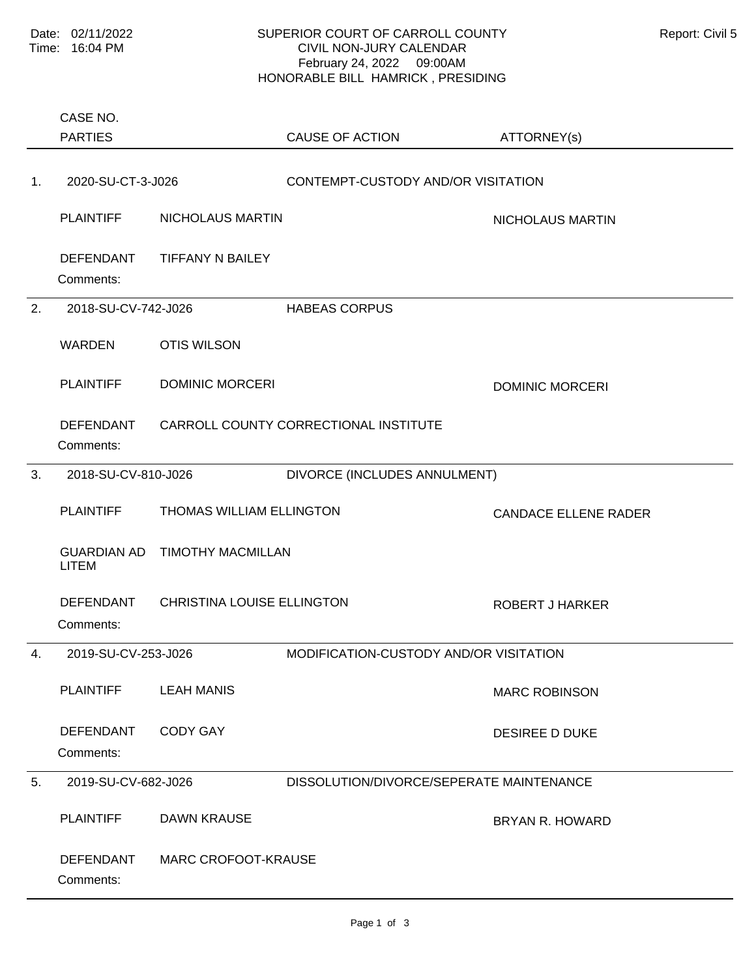PARTIES CASE NO.

## SUPERIOR COURT OF CARROLL COUNTY Report: Civil 5 CIVIL NON-JURY CALENDAR February 24, 2022 09:00AM HONORABLE BILL HAMRICK , PRESIDING

ATTORNEY(s)

CAUSE OF ACTION

Comments: PLAINTIFF NICHOLAUS MARTIN NICHOLAUS MARTIN DEFENDANT TIFFANY N BAILEY 1. 2020-SU-CT-3-J026 CONTEMPT-CUSTODY AND/OR VISITATION Comments: WARDEN OTIS WILSON PLAINTIFF DOMINIC MORCERI DESCRIPTION ON DOMINIC MORCERI DEFENDANT CARROLL COUNTY CORRECTIONAL INSTITUTE 2. 2018-SU-CV-742-J026 HABEAS CORPUS Comments: PLAINTIFF THOMAS WILLIAM ELLINGTON THE CANDACE ELLENE RADER GUARDIAN AD TIMOTHY MACMILLAN LITEM DEFENDANT CHRISTINA LOUISE ELLINGTON ROBERT J HARKER 3. 2018-SU-CV-810-J026 DIVORCE (INCLUDES ANNULMENT) Comments: PLAINTIFF LEAH MANIS **Example 20 YO FOR A SET AND A MARC ROBINSON** DEFENDANT CODY GAY DESIREE D DUKE 4. 2019-SU-CV-253-J026 MODIFICATION-CUSTODY AND/OR VISITATION Comments: PLAINTIFF DAWN KRAUSE DESCRIPTION OF BRYAN R. HOWARD DEFENDANT MARC CROFOOT-KRAUSE 5. 2019-SU-CV-682-J026 DISSOLUTION/DIVORCE/SEPERATE MAINTENANCE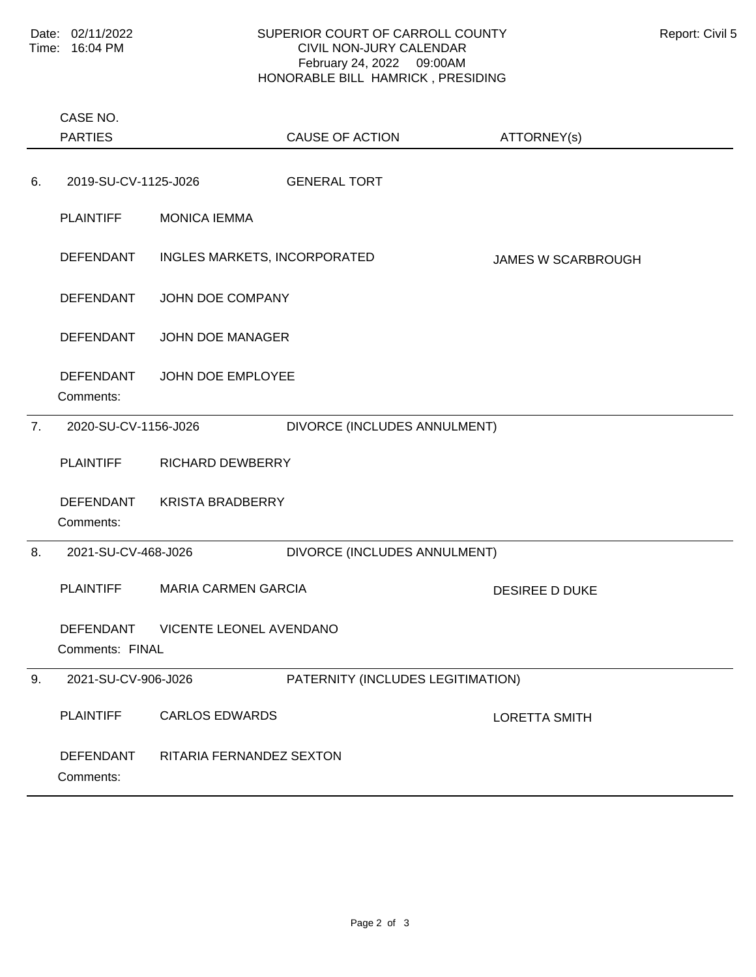## SUPERIOR COURT OF CARROLL COUNTY Report: Civil 5 CIVIL NON-JURY CALENDAR February 24, 2022 09:00AM HONORABLE BILL HAMRICK , PRESIDING

|    | CASE NO.                                                       |                              |                                   |                           |  |
|----|----------------------------------------------------------------|------------------------------|-----------------------------------|---------------------------|--|
|    | <b>PARTIES</b>                                                 |                              | <b>CAUSE OF ACTION</b>            | ATTORNEY(s)               |  |
| 6. | 2019-SU-CV-1125-J026                                           |                              | <b>GENERAL TORT</b>               |                           |  |
|    | <b>PLAINTIFF</b>                                               | <b>MONICA IEMMA</b>          |                                   |                           |  |
|    | <b>DEFENDANT</b>                                               | INGLES MARKETS, INCORPORATED |                                   | <b>JAMES W SCARBROUGH</b> |  |
|    | <b>DEFENDANT</b>                                               | JOHN DOE COMPANY             |                                   |                           |  |
|    | <b>DEFENDANT</b>                                               | JOHN DOE MANAGER             |                                   |                           |  |
|    | <b>DEFENDANT</b><br>Comments:                                  | JOHN DOE EMPLOYEE            |                                   |                           |  |
| 7. | 2020-SU-CV-1156-J026                                           |                              | DIVORCE (INCLUDES ANNULMENT)      |                           |  |
|    | <b>PLAINTIFF</b>                                               | <b>RICHARD DEWBERRY</b>      |                                   |                           |  |
|    | <b>DEFENDANT</b><br>Comments:                                  | <b>KRISTA BRADBERRY</b>      |                                   |                           |  |
| 8. | 2021-SU-CV-468-J026                                            |                              | DIVORCE (INCLUDES ANNULMENT)      |                           |  |
|    | <b>PLAINTIFF</b>                                               | <b>MARIA CARMEN GARCIA</b>   |                                   | <b>DESIREE D DUKE</b>     |  |
|    | <b>VICENTE LEONEL AVENDANO</b><br>DEFENDANT<br>Comments: FINAL |                              |                                   |                           |  |
| 9. | 2021-SU-CV-906-J026                                            |                              | PATERNITY (INCLUDES LEGITIMATION) |                           |  |
|    | <b>PLAINTIFF</b>                                               | <b>CARLOS EDWARDS</b>        |                                   | <b>LORETTA SMITH</b>      |  |
|    | <b>DEFENDANT</b><br>Comments:                                  | RITARIA FERNANDEZ SEXTON     |                                   |                           |  |